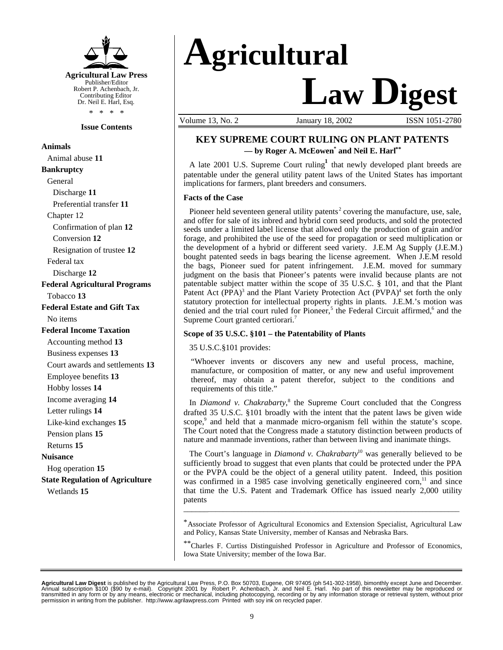

#### **Issue Contents**

**Animals** Animal abuse **11 Bankruptcy** General Discharge **11** Preferential transfer **11** Chapter 12 Confirmation of plan **12** Conversion **12** Resignation of trustee **12** Federal tax Discharge **12 Federal Agricultural Programs** Tobacco **13 Federal Estate and Gift Tax** No items **Federal Income Taxation** Accounting method **13** Business expenses **13** Court awards and settlements **13** Employee benefits **13** Hobby losses **14** Income averaging **14** Letter rulings **14** Like-kind exchanges **15** Pension plans **15** Returns **15 Nuisance** Hog operation **15 State Regulation of Agriculture** Wetlands **15**

# **Agricultural Law Digest**

Volume 13, No. 2 **January 18, 2002 ISSN 1051-2780** 

#### **KEY SUPREME COURT RULING ON PLANT PATENTS — by Roger A. McEowen\* and Neil E. Harl\*\***

A late 2001 U.S. Supreme Court ruling<sup>1</sup> that newly developed plant breeds are patentable under the general utility patent laws of the United States has important implications for farmers, plant breeders and consumers.

#### **Facts of the Case**

Pioneer held seventeen general utility patents<sup>2</sup> covering the manufacture, use, sale, and offer for sale of its inbred and hybrid corn seed products, and sold the protected seeds under a limited label license that allowed only the production of grain and/or forage, and prohibited the use of the seed for propagation or seed multiplication or the development of a hybrid or different seed variety. J.E.M Ag Supply (J.E.M.) bought patented seeds in bags bearing the license agreement. When J.E.M resold the bags, Pioneer sued for patent infringement. J.E.M. moved for summary judgment on the basis that Pioneer's patents were invalid because plants are not patentable subject matter within the scope of 35 U.S.C. § 101, and that the Plant Patent Act (PPA)<sup>3</sup> and the Plant Variety Protection Act (PVPA)<sup>4</sup> set forth the only statutory protection for intellectual property rights in plants. J.E.M.'s motion was denied and the trial court ruled for Pioneer,<sup>5</sup> the Federal Circuit affirmed,<sup>6</sup> and the Supreme Court granted certiorari.<sup>7</sup>

#### **Scope of 35 U.S.C. §101 – the Patentability of Plants**

35 U.S.C.§101 provides:

"Whoever invents or discovers any new and useful process, machine, manufacture, or composition of matter, or any new and useful improvement thereof, may obtain a patent therefor, subject to the conditions and requirements of this title."

In *Diamond v. Chakrabarty*,<sup>8</sup> the Supreme Court concluded that the Congress drafted 35 U.S.C. §101 broadly with the intent that the patent laws be given wide scope,<sup>9</sup> and held that a manmade micro-organism fell within the statute's scope. The Court noted that the Congress made a statutory distinction between products of nature and manmade inventions, rather than between living and inanimate things.

The Court's language in *Diamond v. Chakrabarty*<sup>10</sup> was generally believed to be sufficiently broad to suggest that even plants that could be protected under the PPA or the PVPA could be the object of a general utility patent. Indeed, this position was confirmed in a 1985 case involving genetically engineered corn,<sup>11</sup> and since that time the U.S. Patent and Trademark Office has issued nearly 2,000 utility patents

\*Associate Professor of Agricultural Economics and Extension Specialist, Agricultural Law and Policy, Kansas State University, member of Kansas and Nebraska Bars.

\_\_\_\_\_\_\_\_\_\_\_\_\_\_\_\_\_\_\_\_\_\_\_\_\_\_\_\_\_\_\_\_\_\_\_\_\_\_\_\_\_\_\_\_\_\_\_\_\_\_\_\_\_\_\_\_\_\_\_\_\_\_\_\_\_\_\_\_\_\_\_\_\_\_

\*\*Charles F. Curtiss Distinguished Professor in Agriculture and Professor of Economics, Iowa State University; member of the Iowa Bar.

**Agricultural Law Digest** is published by the Agricultural Law Press, P.O. Box 50703, Eugene, OR 97405 (ph 541-302-1958), bimonthly except June and December.<br>Annual subscription \$100 (\$90 by e-mail). Copyright 2001 by Robe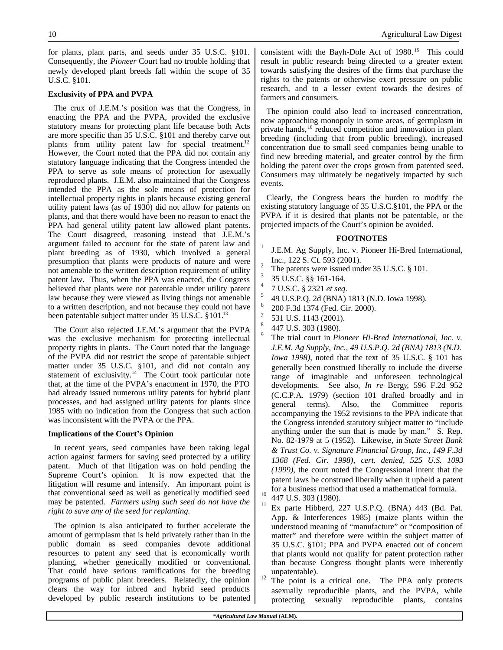for plants, plant parts, and seeds under 35 U.S.C. §101. Consequently, the *Pioneer* Court had no trouble holding that newly developed plant breeds fall within the scope of 35 U.S.C. §101.

#### **Exclusivity of PPA and PVPA**

The crux of J.E.M.'s position was that the Congress, in enacting the PPA and the PVPA, provided the exclusive statutory means for protecting plant life because both Acts are more specific than 35 U.S.C. §101 and thereby carve out plants from utility patent law for special treatment.<sup>12</sup> However, the Court noted that the PPA did not contain any statutory language indicating that the Congress intended the PPA to serve as sole means of protection for asexually reproduced plants. J.E.M. also maintained that the Congress intended the PPA as the sole means of protection for intellectual property rights in plants because existing general utility patent laws (as of 1930) did not allow for patents on plants, and that there would have been no reason to enact the PPA had general utility patent law allowed plant patents. The Court disagreed, reasoning instead that J.E.M.'s argument failed to account for the state of patent law and plant breeding as of 1930, which involved a general presumption that plants were products of nature and were not amenable to the written description requirement of utility patent law. Thus, when the PPA was enacted, the Congress believed that plants were not patentable under utility patent law because they were viewed as living things not amenable to a written description, and not because they could not have been patentable subject matter under 35 U.S.C. §101.<sup>13</sup>

The Court also rejected J.E.M.'s argument that the PVPA was the exclusive mechanism for protecting intellectual property rights in plants. The Court noted that the language of the PVPA did not restrict the scope of patentable subject matter under 35 U.S.C. §101, and did not contain any statement of exclusivity. $14$  The Court took particular note that, at the time of the PVPA's enactment in 1970, the PTO had already issued numerous utility patents for hybrid plant processes, and had assigned utility patents for plants since 1985 with no indication from the Congress that such action was inconsistent with the PVPA or the PPA.

#### **Implications of the Court's Opinion**

In recent years, seed companies have been taking legal action against farmers for saving seed protected by a utility patent. Much of that litigation was on hold pending the Supreme Court's opinion. It is now expected that the litigation will resume and intensify. An important point is that conventional seed as well as genetically modified seed may be patented. *Farmers using such seed do not have the right to save any of the seed for replanting.*

The opinion is also anticipated to further accelerate the amount of germplasm that is held privately rather than in the public domain as seed companies devote additional resources to patent any seed that is economically worth planting, whether genetically modified or conventional. That could have serious ramifications for the breeding programs of public plant breeders. Relatedly, the opinion clears the way for inbred and hybrid seed products developed by public research institutions to be patented consistent with the Bayh-Dole Act of 1980.<sup>15</sup> This could result in public research being directed to a greater extent towards satisfying the desires of the firms that purchase the rights to the patents or otherwise exert pressure on public research, and to a lesser extent towards the desires of farmers and consumers.

The opinion could also lead to increased concentration, now approaching monopoly in some areas, of germplasm in private hands, <sup>16</sup> reduced competition and innovation in plant breeding (including that from public breeding), increased concentration due to small seed companies being unable to find new breeding material, and greater control by the firm holding the patent over the crops grown from patented seed. Consumers may ultimately be negatively impacted by such events.

Clearly, the Congress bears the burden to modify the existing statutory language of 35 U.S.C.§101, the PPA or the PVPA if it is desired that plants not be patentable, or the projected impacts of the Court's opinion be avoided.

#### **FOOTNOTES**

- 1 J.E.M. Ag Supply, Inc. v. Pioneer Hi-Bred International, Inc., 122 S. Ct. 593 (2001).
- 2 The patents were issued under 35 U.S.C. § 101.
- 3 35 U.S.C. §§ 161-164.
- 4 7 U.S.C. § 2321 *et seq*.
- 5 49 U.S.P.Q. 2d (BNA) 1813 (N.D. Iowa 1998).
- 6 200 F.3d 1374 (Fed. Cir. 2000).
- 7 531 U.S. 1143 (2001).
- 8 447 U.S. 303 (1980).
- 9 The trial court in *Pioneer Hi-Bred International, Inc. v. J.E.M. Ag Supply*, *Inc., 49 U.S.P.Q. 2d (BNA) 1813 (N.D. Iowa 1998)*, noted that the text of 35 U.S.C. § 101 has generally been construed liberally to include the diverse range of imaginable and unforeseen technological developments. See also, *In re* Berg*y*, 596 F.2d 952 (C.C.P.A. 1979) (section 101 drafted broadly and in general terms). Also, the Committee reports accompanying the 1952 revisions to the PPA indicate that the Congress intended statutory subject matter to "include anything under the sun that is made by man." S. Rep. No. 82-1979 at 5 (1952). Likewise, in *State Street Bank & Trust Co. v. Signature Financial Group*, *Inc., 149 F.3d 1368 (Fed. Cir. 1998)*, *cert. denied, 525 U.S. 1093 (1999)*, the court noted the Congressional intent that the patent laws be construed liberally when it upheld a patent for a business method that used a mathematical formula.
- $^{10}$  447 U.S. 303 (1980).
- Ex parte Hibberd, 227 U.S.P.Q. (BNA) 443 (Bd. Pat. App. & Interferences 1985) (maize plants within the understood meaning of "manufacture" or "composition of matter" and therefore were within the subject matter of 35 U.S.C. §101; PPA and PVPA enacted out of concern that plants would not qualify for patent protection rather than because Congress thought plants were inherently unpatentable).
- $12$  The point is a critical one. The PPA only protects asexually reproducible plants, and the PVPA, while protecting sexually reproducible plants, contains